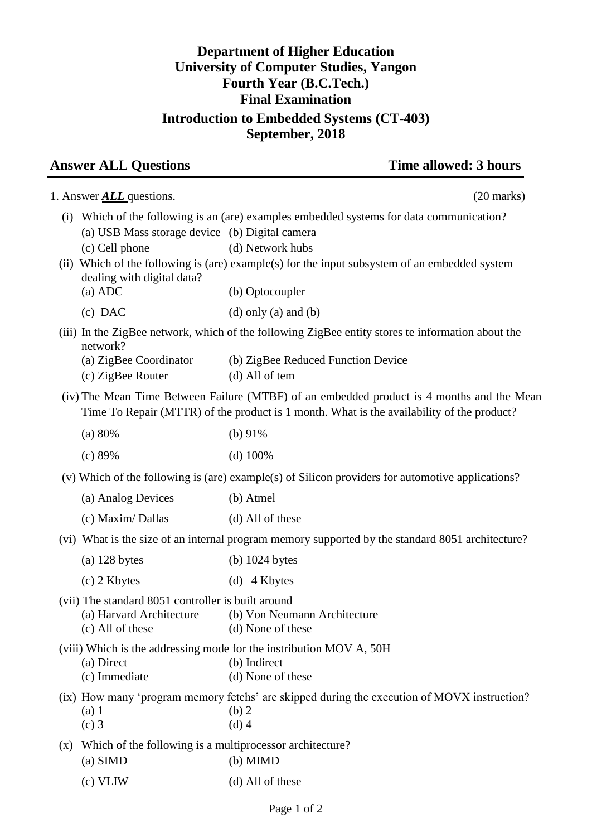## **Department of Higher Education University of Computer Studies, Yangon Fourth Year (B.C.Tech.) Final Examination Introduction to Embedded Systems (CT-403) September, 2018**

## **Answer ALL Questions** Time allowed: 3 hours

|     | 1. Answer <b>ALL</b> questions.                                                                             | $(20 \text{ marks})$                                                                                                                                                                                                         |
|-----|-------------------------------------------------------------------------------------------------------------|------------------------------------------------------------------------------------------------------------------------------------------------------------------------------------------------------------------------------|
| (i) | (a) USB Mass storage device (b) Digital camera<br>(c) Cell phone<br>dealing with digital data?<br>$(a)$ ADC | Which of the following is an (are) examples embedded systems for data communication?<br>(d) Network hubs<br>(ii) Which of the following is (are) example(s) for the input subsystem of an embedded system<br>(b) Optocoupler |
|     | $(c)$ DAC                                                                                                   | $(d)$ only $(a)$ and $(b)$                                                                                                                                                                                                   |
|     | network?<br>(a) ZigBee Coordinator<br>(c) ZigBee Router                                                     | (iii) In the ZigBee network, which of the following ZigBee entity stores te information about the<br>(b) ZigBee Reduced Function Device<br>(d) All of tem                                                                    |
|     |                                                                                                             | (iv) The Mean Time Between Failure (MTBF) of an embedded product is 4 months and the Mean<br>Time To Repair (MTTR) of the product is 1 month. What is the availability of the product?                                       |
|     | (a) 80%                                                                                                     | (b) $91\%$                                                                                                                                                                                                                   |
|     | (c) 89%                                                                                                     | $(d)$ 100%                                                                                                                                                                                                                   |
|     |                                                                                                             | (v) Which of the following is (are) example(s) of Silicon providers for automotive applications?                                                                                                                             |
|     | (a) Analog Devices                                                                                          | (b) Atmel                                                                                                                                                                                                                    |
|     | (c) Maxim/Dallas                                                                                            | (d) All of these                                                                                                                                                                                                             |
|     |                                                                                                             | (vi) What is the size of an internal program memory supported by the standard 8051 architecture?                                                                                                                             |
|     | $(a)$ 128 bytes                                                                                             | $(b)$ 1024 bytes                                                                                                                                                                                                             |
|     | (c) 2 Kbytes                                                                                                | (d) $4$ Kbytes                                                                                                                                                                                                               |
|     | (vii) The standard 8051 controller is built around<br>(a) Harvard Architecture<br>(c) All of these          | (b) Von Neumann Architecture<br>(d) None of these                                                                                                                                                                            |
|     | (a) Direct<br>(c) Immediate                                                                                 | (viii) Which is the addressing mode for the instribution MOV A, 50H<br>(b) Indirect<br>(d) None of these                                                                                                                     |
|     | $(a)$ 1<br>$(c)$ 3                                                                                          | (ix) How many 'program memory fetchs' are skipped during the execution of MOVX instruction?<br>(b) 2<br>$(d)$ 4                                                                                                              |
| (x) | Which of the following is a multiprocessor architecture?<br>(a) SIMD                                        | $(b)$ MIMD                                                                                                                                                                                                                   |
|     | $(c)$ VLIW                                                                                                  | (d) All of these                                                                                                                                                                                                             |
|     |                                                                                                             |                                                                                                                                                                                                                              |